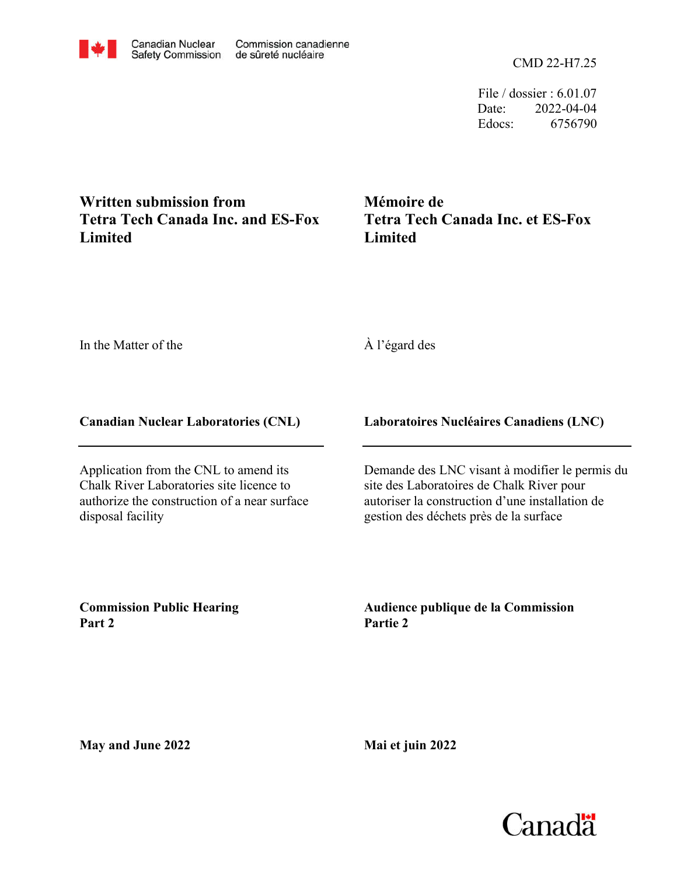CMD 22-H7.25

File / dossier : 6.01.07 Date: 2022-04-04 Edocs: 6756790

## **Written submission from Tetra Tech Canada Inc. and ES-Fox Limited**

**Mémoire de Tetra Tech Canada Inc. et ES-Fox Limited**

In the Matter of the

À l'égard des

## **Canadian Nuclear Laboratories (CNL)**

Application from the CNL to amend its Chalk River Laboratories site licence to authorize the construction of a near surface disposal facility

## **Laboratoires Nucléaires Canadiens (LNC)**

Demande des LNC visant à modifier le permis du site des Laboratoires de Chalk River pour autoriser la construction d'une installation de gestion des déchets près de la surface

**Commission Public Hearing Part 2**

**Audience publique de la Commission Partie 2**

**May and June 2022**

**Mai et juin 2022**



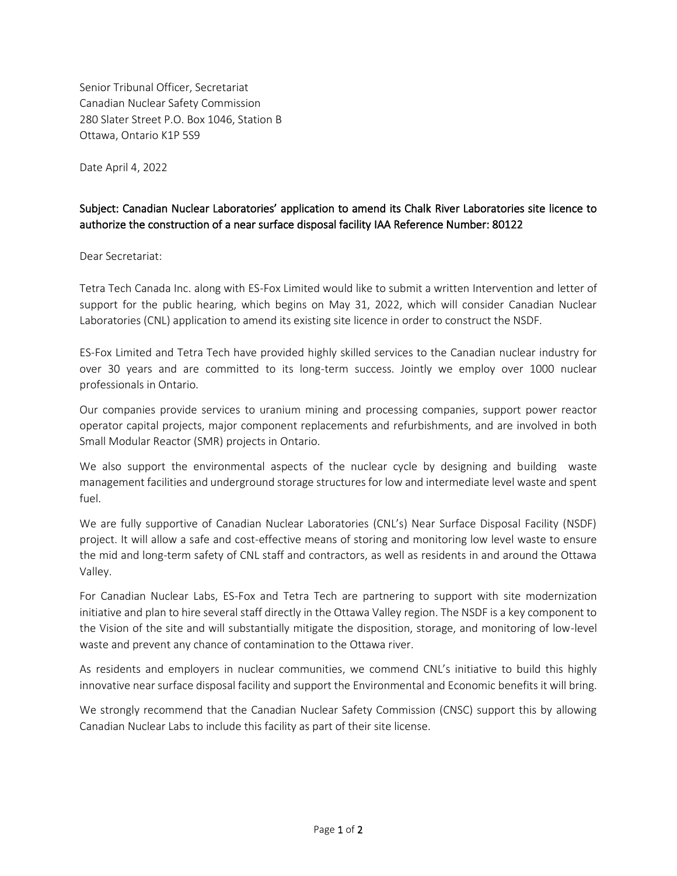Senior Tribunal Officer, Secretariat Canadian Nuclear Safety Commission 280 Slater Street P.O. Box 1046, Station B Ottawa, Ontario K1P 5S9

Date April 4, 2022

## Subject: Canadian Nuclear Laboratories' application to amend its Chalk River Laboratories site licence to authorize the construction of a near surface disposal facility IAA Reference Number: 80122

Dear Secretariat:

Tetra Tech Canada Inc. along with ES-Fox Limited would like to submit a written Intervention and letter of support for the public hearing, which begins on May 31, 2022, which will consider Canadian Nuclear Laboratories (CNL) application to amend its existing site licence in order to construct the NSDF.

ES-Fox Limited and Tetra Tech have provided highly skilled services to the Canadian nuclear industry for over 30 years and are committed to its long-term success. Jointly we employ over 1000 nuclear professionals in Ontario.

Our companies provide services to uranium mining and processing companies, support power reactor operator capital projects, major component replacements and refurbishments, and are involved in both Small Modular Reactor (SMR) projects in Ontario.

We also support the environmental aspects of the nuclear cycle by designing and building waste management facilities and underground storage structures for low and intermediate level waste and spent fuel.

We are fully supportive of Canadian Nuclear Laboratories (CNL's) Near Surface Disposal Facility (NSDF) project. It will allow a safe and cost-effective means of storing and monitoring low level waste to ensure the mid and long-term safety of CNL staff and contractors, as well as residents in and around the Ottawa Valley.

For Canadian Nuclear Labs, ES-Fox and Tetra Tech are partnering to support with site modernization initiative and plan to hire several staff directly in the Ottawa Valley region. The NSDF is a key component to the Vision of the site and will substantially mitigate the disposition, storage, and monitoring of low-level waste and prevent any chance of contamination to the Ottawa river.

As residents and employers in nuclear communities, we commend CNL's initiative to build this highly innovative near surface disposal facility and support the Environmental and Economic benefits it will bring.

We strongly recommend that the Canadian Nuclear Safety Commission (CNSC) support this by allowing Canadian Nuclear Labs to include this facility as part of their site license.